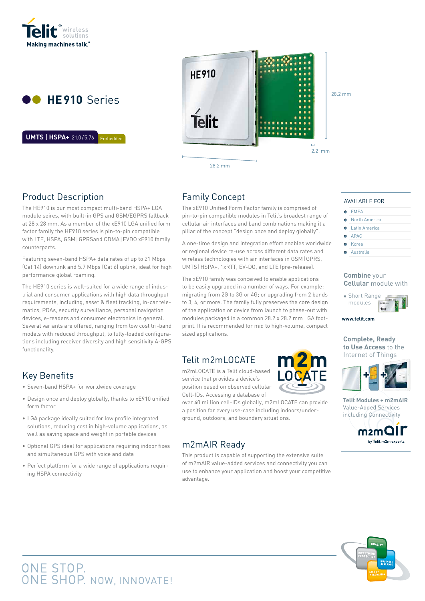



Embedded **UMTS** | **HSPA+** 21.0/5.76 Embedded **UMTS** | **HSPA+** 21.0/5.76



28.2 mm

# Product Description

The HE910 is our most compact multi-band HSPA+ LGA module seires, with built-in GPS and GSM/EGPRS fallback at 28 x 28 mm. As a member of the xE910 LGA unified form factor family the HE910 series is pin-to-pin compatible with LTE, HSPA, GSM|GPRSand CDMA|EVDO xE910 family counterparts.

Featuring seven-band HSPA+ data rates of up to 21 Mbps (Cat 14) downlink and 5.7 Mbps (Cat 6) uplink, ideal for high performance global roaming.

The HE910 series is well-suited for a wide range of industrial and consumer applications with high data throughput requirements, including, asset & fleet tracking, in-car telematics, PDAs, security surveillance, personal navigation devices, e-readers and consumer electronics in general. Several variants are offered, ranging from low cost tri-band models with reduced throughput, to fully-loaded configurations including receiver diversity and high sensitivity A-GPS functionality.

## Key Benefits

- Seven-band HSPA+ for worldwide coverage
- Design once and deploy globally, thanks to xE910 unified form factor
- LGA package ideally suited for low profile integrated solutions, reducing cost in high-volume applications, as well as saving space and weight in portable devices
- Optional GPS ideal for applications requiring indoor fixes and simultaneous GPS with voice and data
- Perfect platform for a wide range of applications requiring HSPA connectivity

# Family Concept

The xE910 Unified Form Factor family is comprised of pin-to-pin compatible modules in Telit's broadest range of cellular air interfaces and band combinations making it a pillar of the concept "design once and deploy globally".

A one-time design and integration effort enables worldwide or regional device re-use across different data rates and wireless technologies with air interfaces in GSM|GPRS, UMTS|HSPA+, 1xRTT, EV-DO, and LTE (pre-release).

The xE910 family was conceived to enable applications to be easily upgraded in a number of ways. For example: migrating from 2G to 3G or 4G; or upgrading from 2 bands to 3, 4, or more. The family fully preserves the core design of the application or device from launch to phase-out with modules packaged in a common 28.2 x 28.2 mm LGA footprint. It is recommended for mid to high-volume, compact sized applications.

# Telit m2mLOCATE

m2mLOCATE is a Telit cloud-based service that provides a device's position based on observed cellular Cell-IDs. Accessing a database of

over 40 million cell-IDs globally, m2mLOCATE can provide a position for every use-case including indoors/underground, outdoors, and boundary situations.

# m2mAIR Ready

This product is capable of supporting the extensive suite of m2mAIR value-added services and connectivity you can use to enhance your application and boost your competitive advantage.



AVAILABLE FOR

- $E = EMEA$
- **•** North America
- Latin America  $\bullet$ APAC
- Korea
- 
- **Australia**

#### **Combine** your **Cellular** module with



**www.telit.com** modules de la provincia de la provincia de la provincia de la provincia de la provincia de la provincia de la<br>Entre de la provincia de la provincia de la provincia de la provincia de la provincia de la provincia de la pr

**Complete, Ready to Use Access** to the Internet of Things



**Telit Modules + m2mAIR** Value-Added Services including Connectivity